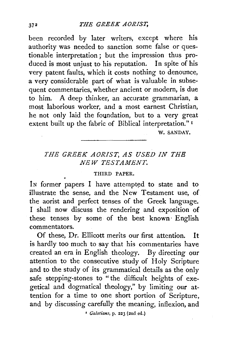been recorded by later writers, except where his authority was needed to sanction some false or questionable interpretation; but the impression thus produced is most unjust to his reputation. In spite of his very patent faults, which it costs nothing to denounce, a very considerable part of what is valuable in subsequent commentaries, whether ancient or modern, is due to him. A deep thinker, an accurate grammarian, a most laborious worker, and a most earnest Christian, he not only laid the foundation, but to a very great extent built up the fabric of Biblical interpretation." <sup>1</sup>

W. SANDAY.

## *THE GREEK AORIST, AS USED IN THE NEW TESTAMENT.*

## THIRD PAPER.

In former papers I have attempted to state and to illustrate the sense, and the New Testament use, of the aorist and perfect tenses of the Greek language. I shall now discuss the rendering and exposition of these tenses by some of the best known English commentators.

Of these, Dr. Ellicott merits our first attention. It is hardly too much to say that his commentaries have created an era in English theology. By directing our attention to the consecutive study of Holy Scripture and to the study of its grammatical details as the only safe stepping-stones to " the difficult heights of exegetical and dogmatical theology," by limiting our attention for a time to one short portion of Scripture, and by discussing carefully the meaning, inflexion, and

1 *Calatians,* p. 223 (2nd ed.)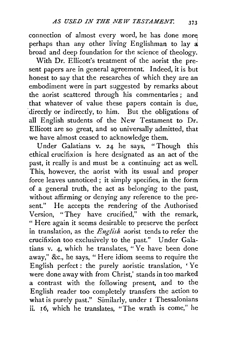connection of almost every word, he has done more perhaps than any other living Englishman to lay  $\vec{a}$ broad and deep foundation for the science of theology.

With Dr. Ellicott's treatment of the aorist the present papers are in general agreement. Indeed, it is but honest to say that the researches of which they are an embodiment were in part suggested by remarks about the aorist scattered through his commentaries ; and that whatever of value these papers contain is due, directly or indirectly, to him. But the obligations of all English students of the New Testament to Dr. Ellicott are so great, and so universally admitted, that we have almost ceased to acknowledge them.

Under Galatians v. 24 he says, "Though this ethical crucifixion is here designated as an act of the past, it really is and must be a continuing act as well. This, however, the aorist with its usual and proper force leaves unnoticed; it simply specifies, in the form of a general truth, the act as belonging to the past, without affirming or denying any reference to the present." He accepts the rendering of the Authorised Version, "They have crucified," with the remark, " Here again it seems desirable to preserve the perfect in translation, as the *English* aorist tends to refer the crucifixion too exclusively to the past." *V* nder Galatians v. 4, which he translates, "Ye have been done away," &c., he says, " Here idiom seems to require the English perfect : the purely aoristic translation, ' Ye were done away with from Christ,' stands in too marked a contrast with the following present, and to the English reader too completely transfers the action to what is purely past." Similarly, under 1 Thessalonians ii. 16, which he translates, "The wrath is come," he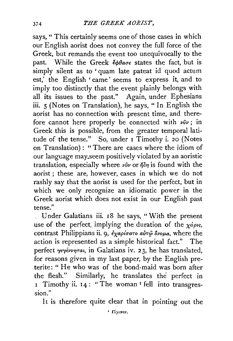says, " This certainly seems one of those cases in which our English aorist does not convey the full force of the Greek, but remands the event too unequivocally to the past. While the Greek  $\epsilon_0$ ba $\sigma\epsilon$  states the fact, but is simply silent as to 'quam late pateat id quod actum est,' the English ' came' seems to express it, and to imply too distinctly that the event plainly belongs with all its issues to the past." Again, under Ephesians iii. 5 (Notes on Translation), he says, "In English the aorist has no connection with present time, and therefore cannot here properly be connected with  $\nu \hat{\nu} \nu$ ; in Greek this is possible, from the greater temporal latitude of the tense." So, under 1 Timothy i. 20 (Notes on Translation) : "There are cases where the idiom of our language may.seem positively violated by an aoristic translation, especially where  $\nu \hat{\nu} \nu$  or  $\eta \delta \eta$  is found with the aorist ; these are, however, cases in which we do not rashly say that the aorist is used for the perfect, but in which we only recognize an idiomatic power in the Greek aorist which does not exist in our English past tense."

Under Galatians iii. 18 he says, "With the present use of the perfect, implying the duration of the  $\chi_{\alpha} \rho_{\beta}$ , contrast Philippians ii. 9,  $\partial_{\chi} \partial_{\chi} \phi_{\chi}$  and  $\partial_{\chi} \partial_{\chi} \phi_{\chi}$ , where the action is represented as a simple historical fact." The perfect *γεγέννηται*, in Galatians iv. 23, he has translated, for reasons given in my last paper, by the English preterite: " He who was of the bond-maid was born after the flesh." Similarly, he translates the perfect in 1 Timothy ii. 14: "The woman<sup>1</sup> fell into transgres-<br>sion."

It is therefore quite clear that in pointing out the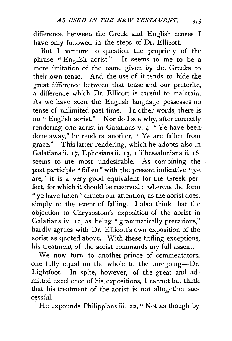difference between the Greek and English tenses I have only followed in the steps of Dr. Ellicott.

But I venture to question the propriety of the phrase "English aorist." It seems to me to be a mere imitation of the name given by the Greeks to their own tense. And the use of it tends to hide the great difference between that tense and our preterite, a difference which Dr. Ellicott is careful to maintain. As we have seen, the English language possesses no tense of unlimited past time. In other words, there is no " English aorist." Nor do I see why, after correctly rendering one aorist in Galatians v. 4, "Ye have been done away," he renders another, " Ye are fallen from grace." This latter rendering, which he adopts also in Galatians ii. 17, Ephesians ii. 13, 1 Thessalonians ii. 16 seems to me most undesirable. As combining the past participle " fallen " with the present indicative "ye are," it is a very good equivalent for the Greek perfect, for which it should be reserved: whereas the form " ye have fallen" directs our attention, as the aorist does, simply to the event of falling. I also think that the objection to Chrysostom's exposition of the aorist in Galatians iv. 12, as being "grammatically precarious," hardly agrees with Dr. Ellicott's own exposition of the aorist as quoted above. With these trifling exceptions, his treatment of the aorist commands my full assent.

We now turn to another prince of commentators, one fully equal on the whole to the foregoing--Dr. Lightfoot. In spite, however, of the great and admitted excellence of his expositions, I cannot but think that his treatment of the aorist is not altogether successful.

He expounds Philippians iii.  $12$ , " Not as though by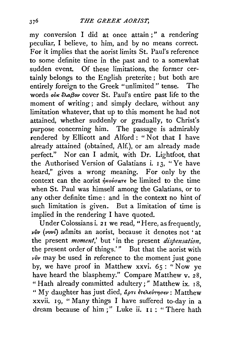my conversion I did at once attain ; " a rendering peculiar, I believe, to him, and by no means correct. For it implies that the aorist limits St. Paul's reference to some definite time in the past and to a somewhat sudden event. Of these limitations, the former certainly belongs to the English preterite ; but both are entirely foreign to the Greek "unlimited" tense. The words oux  $\epsilon \lambda a \beta o \nu$  cover St. Paul's entire past life to the moment of writing; and simply declare, without any limitation whatever, that up to this moment he had not attained, whether suddenly or gradually, to Christ's purpose concerning him. The passage is admirably rendered by Ellicott and Alford : " Not that I have already attained (obtained, Alf.), or am already made perfect." Nor can I admit, with Dr. Lightfoot, that the Authorised Version of Galatians i.  $13$ , "Ye have heard," gives a wrong meaning. For only by the context can the aorist  $\phi_{\text{Kov}}$  be limited to the time when St. Paul was himself among the Galatians, or to any other definite time : and in the context no hint of such limitation is given. But a limitation of time is implied in the rendering I have quoted.

Under Colossians i. 21 we read, "Here, as frequently, *viiv (vvvl)* admits an aorist, because it denotes not 'at the present *moment*,' but 'in the present *dispensation*, the present order of things.'" But that the aorist with *viiv* may be used in reference to the moment just gone by, we have proof in Matthew xxvi. 65 : "Now ye have heard the blasphemy." Compare Matthew v. 28, " Hath already committed adultery;" Matthew ix. 18, " My daughter has just died, άρτι έτελεύτησεν: Matthew xxvii. 19, "Many things I have suffered to-day in a dream because of him;" Luke ii. II : "There hath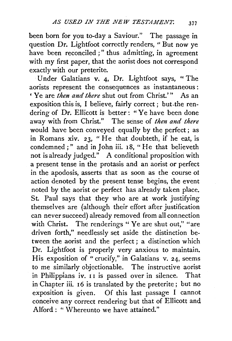been born for you to-day a Saviour." The passage in question Dr. Lightfoot correctly renders, " But now ye have been reconciled;" thus admitting, in agreement with my first paper, that the aorist does not correspond exactly with our preterite.

*Vnder Galatians v. 4, Dr. Lightfoot says, "The* aorists represent the consequences as instantaneous : ' Ye are *then and there* shut out from Christ.'" As an exposition this is, I believe, fairly correct; but.the rendering of Dr. Ellicott is better: "Ye have been done away with from Christ." The sense of *then and there*  would have been conveyed equally by the perfect; as in Romans xiv. 23, "He that doubteth, if he eat, is condemned;" and in John iii. 18, "He that believeth not is already judged." A conditional proposition with a present tense in the protasis and an aorist or perfect in the apodosis, asserts that as soon as the course of action denoted by the present tense begins, the event noted by the aorist or perfect has already taken place. St. Paul says that they who are at work justifying themselves are (although their effort after justification can never succeed) already removed from all connection with Christ. The renderings " Ye are shut out," "are driven forth," needlessly set aside the distinction between the aorist and the perfect ; a distinction which Dr. Lightfoot is properly very anxious to maintain. His exposition of "crucify," in Galatians v. 24, seems to me similarly objectionable. The instructive aorist in Philippians iv. II is passed over in silence. That in Chapter iii. 16 is translated by the preterite; but no exposition is given. Of this last passage I cannot conceive any correct rendering but that of Ellicott and Alford : " Whereunto we have attained."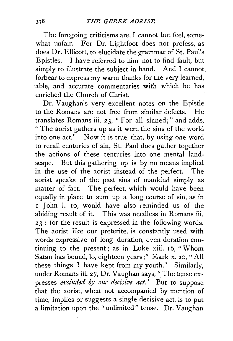The foregoing criticisms are, I cannot but feel, somewhat unfair. For Dr. Lightfoot does not profess, as does Dr. Ellicott, to elucidate the grammar of St. Paul's Epistles. I have referred to him not to find fault, but simply to illustrate the subject in hand. And I cannot forbear to express my warm thanks for the very learned, able, and accurate commentaries with which he has enriched the Church of Christ.

Dr. Vaughan's very excellent notes on the Epistle to the Romans are not free from similar defects. He translates Romans iii. 23, "For all sinned;" and adds, "The aorist gathers up as it were the sins of the world into one act." Now it is true that, by using one word to recall centuries of sin, St. Paul does gather together the actions of these centuries into one mental landscape. But this gathering up is by no means implied in the use of the aorist instead of the perfect. The aorist speaks of the past sins of mankind simply as matter of fact. The perfect, which would have been equally in place to sum up a long course of sin, as in I John i. 10, would have also reminded us of the abiding result of it. This was needless in Romans iii. 2 3 : for the result is expressed in the following words. The aorist, like our preterite, is constantly used with words expressive of long duration, even duration continuing to the present; as in Luke xiii. 16, "Whom Satan has bound, lo, eighteen years;" Mark x. 20, "All these things I have kept from my youth." Similarly, under Romans iii. 27, Dr. Vaughan says, "The tense expresses *excluded* by *one decisive act."* But to suppose that the aorist, when not accompanied by mention of time, implies or suggests a single decisive act, is to put a limitation upon the "unlimited" tense. Dr. Vaughan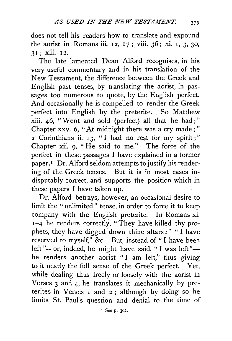does not tell his readers how to translate and expound the aorist in Romans iii. 12, 17; viii.  $36$ ; xi. 1, 3, 30, 3 I ; xiii. I 2.

The late lamented Dean Alford recognises, in his very useful commentary and in his translation of the New Testament, the difference between the Greek and English past tenses, by translating the aorist, in passages too numerous to quote, by the English perfect. And occasionally he is compelled to render the Greek perfect into English by the preterite. So Matthew xiii. 46, " Went and sold (perfect) all that he had ; " Chapter xxv. 6, "At midnight there was a cry made; " 2 Corinthians ii. 13, "I had no rest for my spirit;" Chapter xii. 9, "He said to me." The force of the perfect in these passages I have explained in a former paper.<sup>1</sup> Dr. Alford seldom attempts to justify his rendering of the Greek tenses. But it is in most cases indisputably correct, and supports the position which in these papers I have taken up.

Dr. Alford betrays, however, an occasional desire to limit the " unlimited " tense, in order to force it *to* keep company with the English preterite. In Romans xi. I-4 he renders correctly, "They have killed thy prophets, they have digged down thine altars;" " I have reserved *to* myself," &c. But, instead of " I have been left "-or, indeed, he might have said, "I was left "he renders another aorist "I am left," thus giving to it nearly the full sense of the Greek perfect. Yet, while dealing thus freely or loosely with the aorist in Verses 3 and 4, he translates it mechanically by preterites in Verses I and 2; although by doing so he limits St. Paul's question and denial *to* the time of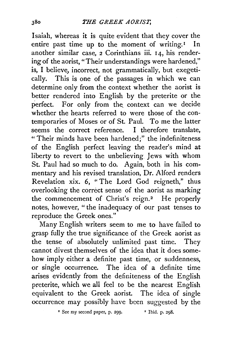Isaiah, whereas it is quite evident that they cover the entire past time up to the moment of writing.<sup> $I$ </sup> In another similar case, 2 Corinthians iii. 14, his rendering of the aorist, "Their understandings were hardened," is, I believe, incorrect, not grammatically, but exegetically. This is one of the passages in which we can determine only from the context whether the aorist is better rendered into English by the preterite or the perfect. For only from the context can we decide whether the hearts referred to were those of the contemporaries of Moses or of St. Paul. To me the latter seems the correct reference. I therefore translate, "Their minds have been hardened;" the indefiniteness of the English perfect leaving the reader's mind at liberty to revert to the unbelieving Jews with whom St. Paul had so much to do. Again, both in his commentary and his revised translation, Dr. Alford renders Revelation xix. 6, " The Lord God reigneth," thus overlooking the correct sense of the aorist as marking the commencement of Christ's reign.<sup>2</sup> He properly notes, however, " the inadequacy of our past tenses to reproduce the Greek ones."

Many English writers seem to me to have failed to grasp fully the true significance of the Greek aorist as the tense of absolutely unlimited past time. They cannot divest themselves of the idea that it does somehow imply either a definite past time, or suddenness, or single occurrence. The idea of a definite time arises evidently from the definiteness of the English preterite, which we all feel to be the nearest English equivalent to the Greek aorist. The idea of single occurrence may possibly have been suggested by the

<sup>1</sup> See my second paper, p. 299.  $^2$  Ibid. p. 298.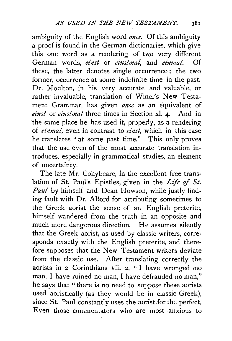ambiguity of the English word *once.* Of this ambiguity a proof is found in the German dictionaries, which give this one word as a rendering of two very different German words, *einst* or *einstmal,* and *einmal.* Of these, the latter denotes single occurrence ; the two former, occurrence at some indefinite time in the past. Dr. Moulton, in his very accurate and valuable, or rather invaluable, translation of Winer's New Testament Grammar, has given *01zce* as an equivalent of *einst* or *einstmal* three times in Section x1. 4· And in the same place he has used it, properly, as a rendering of *einmal,* even in contrast to *einst,* which in this case he translates " at some past time." This only proves that the use even of the most accurate translation introduces, especially in grammatical studies, an element of uncertainty.

The late Mr. Conybeare, in the excellent free translation of St: Paul's Epistles, given in the *Life* of *St. Paul* by himself and Dean Howson, while justly finding fault with Dr. Alford for attributing sometimes to the Greek aorist the sense of an English preterite, himself wandered from the truth in an opposite and much more dangerous direction. He assumes silently that the Greek aorist, as used by classic writers, corresponds exactly with the English preterite, and therefore supposes that the New Testament writers deviate from the classic use. After translating correctly the aorists in 2 Corinthians vii. 2, "I have wronged mo man, I have ruined no man, I have defrauded no man," he says that "there is no need to suppose these aorists used aoristically (as they would be in classic Greek), since St. Paul constantly uses the aorist for the perfect. Even those commentators who are most anxious to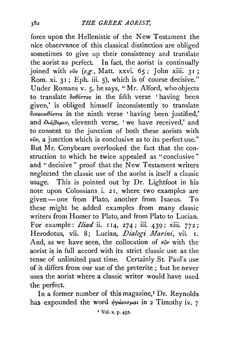force upon the Hellenistic of the New Testament the nice observance of this classical distinction are obliged sometimes to give up their consistency and translate the aorist as perfect. In fact, the aorist is continually joined with  $v\hat{v}v$  (e.g., Matt. xxvi. 65; John xiii. 31; Rom. xi. 3I; Eph. iii. 5), which is of course decisive." Under Romans v. 5, he says, "Mr. Alford, who objects to translate  $\delta o \theta \epsilon \nu \tau o \varsigma$  in the fifth verse ' having been given,' is obliged himself inconsistently to translate  $\delta$ tkatw $\theta$ évtes in the ninth verse ' having been justified,' and  $\partial \hat{\alpha} \beta \partial \mu \in \nu$ , eleventh verse, 'we have received,' and to consent to the junction of both these aorists with  $\nu\hat{\nu}\nu$ , a junction which is conclusive as to its perfect use." But Mr. Conybeare overlooked the fact that the construction to which he twice appealed as "conclusive" and "decisive" proof that the New Testament writers neglected the classic use of the aorist is itself a classic usage. This is pointed out by Dr. Lightfoot in his note upon Colossians i. 2 I, where two examples are given-one from Plato, another from Isaeus. To these might be added examples from many classic writers from Homer to Plato, and from Plato to Lucian. For example: *Iliad* ii. 114, 274; iii. 439; xiii. 772; Herodotus, vii. 8; Lucian, *Dialogi Marini,* vii. I. And, as we have seen, the collocation of  $\nu \hat{\nu}$  with the aorist is in full accord with its strict classic use as the tense of unlimited past time. Certainly St. Paul's use of it differs from our use of the preterite ; but he never uses the aorist where a classic writer would have used the perfect.

In a former number of this magazine,<sup>I</sup> Dr. Reynolds has expounded the word  $\dot{\eta}$  y  $\dot{\omega}$   $\nu$  and  $\dot{\mu}$  and  $\dot{\nu}$ . 7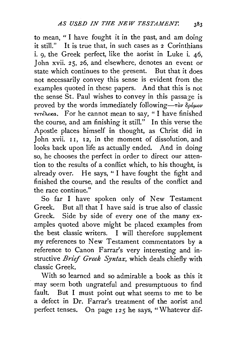to mean, "I have fought it in the past, and am doing it still." It is true that, in such cases as 2 Corinthians i. 9, the Greek perfect, like the aorist in Luke i. 46, John xvii. 25, 26, and elsewhere, denotes an event or state which continues to the ·present. But that it does not necessarily convey this sense is evident from the examples quoted in these papers. And that this is not the sense St. Paul wishes to convey in this passage is proved by the words immediately following- $\tau$ ov  $\delta \rho \phi \mu \sigma \nu$ *TeTέλεκα.* For he cannot mean to say, " I have finished the course, and am finishing it still." In this verse the Apostle places himself in thought, as Christ did in John xvii. II, I2, in the moment of dissolution, and looks back upon life as actually ended. And in doing so, he chooses the perfect in order to direct our attention to the results of a conflict which, to his thought, is already over. He says, " I have fought the fight and finished the course, and the results of the conflict and the race continue."

So far I have spoken only of New Testament Greek. But all that I have said is true also of classic Greek. Side by side of every one of the many examples quoted above might be placed examples from the best classic writers. I will therefore supplement my references to New Testament commentators by a reference to Canon Farrar's very interesting and instructive *Brief Greek Syntax,* which deals chiefly with classic Greek.

With so learned and so admirable a book as this it . may seem both ungrateful and presumptuous to find fault. But I must point out what seems to me to be a defect in Dr. Farrar's treatment of the aorist and perfect tenses. On page 125 he says, "Whatever dif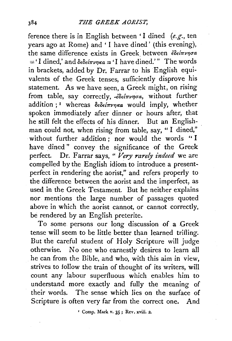ference there is in English between 'I dined *(e.g.,* ten years ago at Rome) and 'I have dined' (this evening), the same difference exists in Greek between *ἐδείπνησα*  $=$  'I dined,' and  $\delta \epsilon \delta \epsilon / \pi \nu n \kappa a =$  'I have dined.'" The words in brackets, added by Dr. Farrar to his English equivalents of the Greek tenses, sufficiently disprove his statement. As we have seen, a Greek might, on rising from table, say correctly,  $\cdot\epsilon\delta\epsilon\mathrm{i}\pi\nu\eta\sigma a$ , without further addition ; <sup>1</sup> whereas  $\delta \epsilon \delta \epsilon / \pi \nu \eta \kappa a$  would imply, whether spoken immediately after dinner or hours after, that he still felt the effects of his dinner. But an Englishman could not, when rising from table, say, " I dined," without further addition; nor would the words "I have dined " convey the significance of the Greek perfect. Dr. Farrar says, " Very rarely indeed we are compelled by the English idiom to introduce a presentperfect in rendering the aorist," and refers properly to the difference between the aorist and the imperfect, as used in the Greek Testament. But he neither explains nor mentions the large number of passages quoted above in which the aorist cannot, or cannot correctly, be rendered by an English preterite.

To some persons our long discussion of a Greek tense will seem to be little better than learned trifling. But the careful student of Holy Scripture will judge otherwise. No one who earnestly desires to learn all he can from the Bible, and who, with this aim in view, strives to follow the train of thought of its writers, will count any labour superfluous which enables him to understand more exactly and fully the meaning of their words. The sense which lies on the surface of Scripture is often very far from the correct one. And

<sup>x</sup> Comp. Mark v. 35; Rev. xviii. 2.